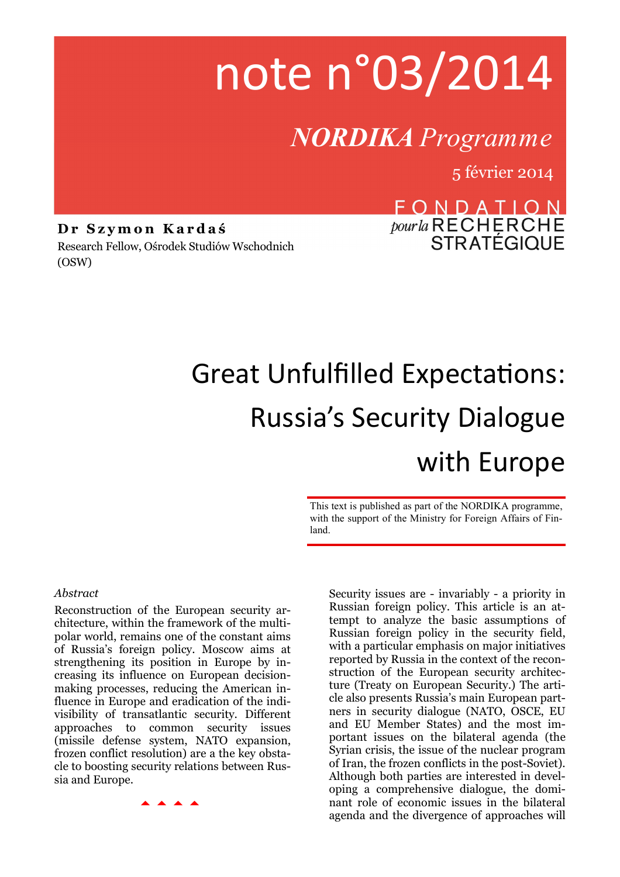# note n°03/2014

### *NORDIKA Programme*

5 février 2014

**D r S z y m o n K a r d a ś**  Research Fellow, Ośrodek Studiów Wschodnich (OSW)

## FONDATION *pour la* RECHERCHE<br>STRATÉGIQUE

## Great Unfulfilled Expectations: Russia's Security Dialogue with Europe

This text is published as part of the NORDIKA programme, with the support of the Ministry for Foreign Affairs of Finland.

#### *Abstract*

Reconstruction of the European security architecture, within the framework of the multipolar world, remains one of the constant aims of Russia's foreign policy. Moscow aims at strengthening its position in Europe by increasing its influence on European decisionmaking processes, reducing the American influence in Europe and eradication of the indivisibility of transatlantic security. Different approaches to common security issues (missile defense system, NATO expansion, frozen conflict resolution) are a the key obstacle to boosting security relations between Russia and Europe.

Security issues are - invariably - a priority in Russian foreign policy. This article is an attempt to analyze the basic assumptions of Russian foreign policy in the security field, with a particular emphasis on major initiatives reported by Russia in the context of the reconstruction of the European security architecture (Treaty on European Security.) The article also presents Russia's main European partners in security dialogue (NATO, OSCE, EU and EU Member States) and the most important issues on the bilateral agenda (the Syrian crisis, the issue of the nuclear program of Iran, the frozen conflicts in the post-Soviet). Although both parties are interested in developing a comprehensive dialogue, the dominant role of economic issues in the bilateral agenda and the divergence of approaches will

**AAAA**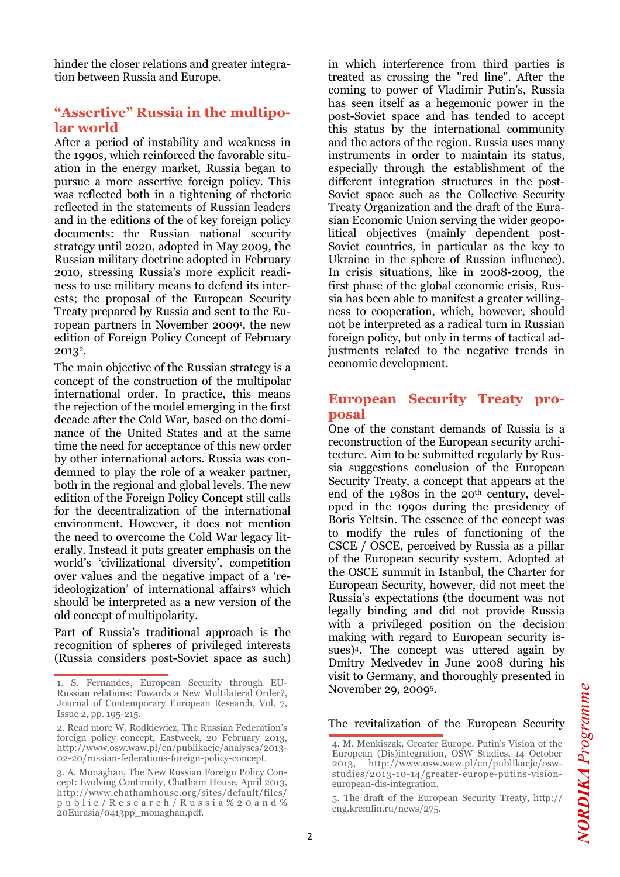hinder the closer relations and greater integration between Russia and Europe.

#### **"Assertive" Russia in the multipolar world**

After a period of instability and weakness in the 1990s, which reinforced the favorable situation in the energy market, Russia began to pursue a more assertive foreign policy. This was reflected both in a tightening of rhetoric reflected in the statements of Russian leaders and in the editions of the of key foreign policy documents: the Russian national security strategy until 2020, adopted in May 2009, the Russian military doctrine adopted in February 2010, stressing Russia's more explicit readiness to use military means to defend its interests; the proposal of the European Security Treaty prepared by Russia and sent to the European partners in November 2009<sup>1</sup> , the new edition of Foreign Policy Concept of February 20132.

The main objective of the Russian strategy is a concept of the construction of the multipolar international order. In practice, this means the rejection of the model emerging in the first decade after the Cold War, based on the dominance of the United States and at the same time the need for acceptance of this new order by other international actors. Russia was condemned to play the role of a weaker partner, both in the regional and global levels. The new edition of the Foreign Policy Concept still calls for the decentralization of the international environment. However, it does not mention the need to overcome the Cold War legacy literally. Instead it puts greater emphasis on the world's 'civilizational diversity', competition over values and the negative impact of a 'reideologization' of international affairs3 which should be interpreted as a new version of the old concept of multipolarity.

Part of Russia's traditional approach is the recognition of spheres of privileged interests (Russia considers post-Soviet space as such) in which interference from third parties is treated as crossing the "red line". After the coming to power of Vladimir Putin's, Russia has seen itself as a hegemonic power in the post-Soviet space and has tended to accept this status by the international community and the actors of the region. Russia uses many instruments in order to maintain its status, especially through the establishment of the different integration structures in the post-Soviet space such as the Collective Security Treaty Organization and the draft of the Eurasian Economic Union serving the wider geopolitical objectives (mainly dependent post-Soviet countries, in particular as the key to Ukraine in the sphere of Russian influence). In crisis situations, like in 2008-2009, the first phase of the global economic crisis, Russia has been able to manifest a greater willingness to cooperation, which, however, should not be interpreted as a radical turn in Russian foreign policy, but only in terms of tactical adjustments related to the negative trends in economic development.

#### **European Security Treaty proposal**

One of the constant demands of Russia is a reconstruction of the European security architecture. Aim to be submitted regularly by Russia suggestions conclusion of the European Security Treaty, a concept that appears at the end of the 1980s in the 20th century, developed in the 1990s during the presidency of Boris Yeltsin. The essence of the concept was to modify the rules of functioning of the CSCE / OSCE, perceived by Russia as a pillar of the European security system. Adopted at the OSCE summit in Istanbul, the Charter for European Security, however, did not meet the Russia's expectations (the document was not legally binding and did not provide Russia with a privileged position on the decision making with regard to European security issues)4. The concept was uttered again by Dmitry Medvedev in June 2008 during his visit to Germany, and thoroughly presented in November 29, 20095.

The revitalization of the European Security

<sup>1.</sup> S. Fernandes, European Security through EU-Russian relations: Towards a New Multilateral Order?, Journal of Contemporary European Research, Vol. 7, Issue 2, pp. 195-215.

<sup>2.</sup> Read more W. Rodkiewicz, The Russian Federation's foreign policy concept, Eastweek, 20 February 2013, http://www.osw.waw.pl/en/publikacje/analyses/2013- 02-20/russian-federations-foreign-policy-concept.

<sup>3.</sup> A. Monaghan, The New Russian Foreign Policy Concept: Evolving Continuity, Chatham House, April 2013, http://www.chathamhouse.org/sites/default/files/ p u b l i c / R e s e a r c h / R u s s i a % 2 0 a n d % 20Eurasia/0413pp\_monaghan.pdf.

<sup>4.</sup> M. Menkiszak, Greater Europe. Putin's Vision of the European (Dis)integration, OSW Studies, 14 October 2013, http://www.osw.waw.pl/en/publikacje/oswstudies/2013-10-14/greater-europe-putins-visioneuropean-dis-integration.

<sup>5.</sup> The draft of the European Security Treaty, http:// eng.kremlin.ru/news/275.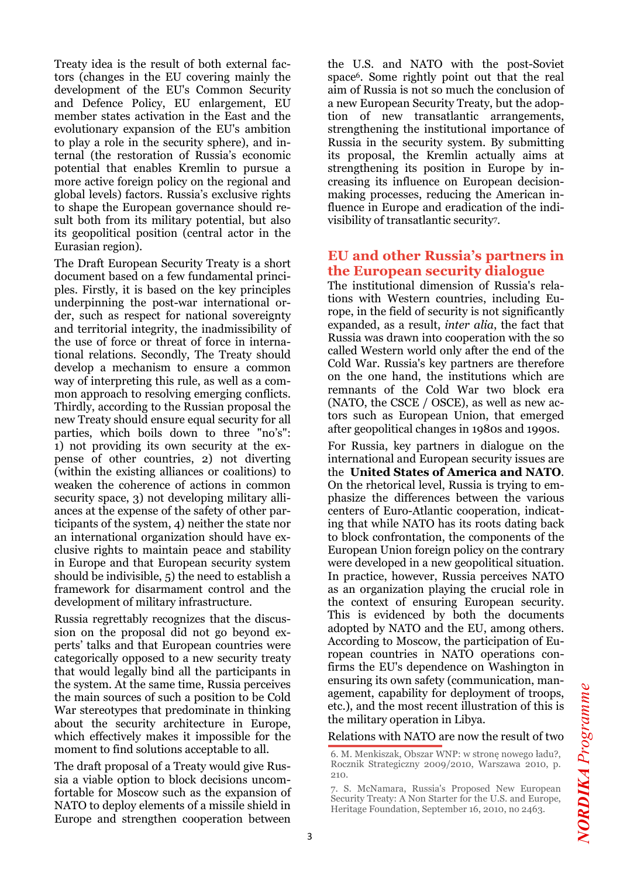Treaty idea is the result of both external factors (changes in the EU covering mainly the development of the EU's Common Security and Defence Policy, EU enlargement, EU member states activation in the East and the evolutionary expansion of the EU's ambition to play a role in the security sphere), and internal (the restoration of Russia's economic potential that enables Kremlin to pursue a more active foreign policy on the regional and global levels) factors. Russia's exclusive rights to shape the European governance should result both from its military potential, but also its geopolitical position (central actor in the Eurasian region).

The Draft European Security Treaty is a short document based on a few fundamental principles. Firstly, it is based on the key principles underpinning the post-war international order, such as respect for national sovereignty and territorial integrity, the inadmissibility of the use of force or threat of force in international relations. Secondly, The Treaty should develop a mechanism to ensure a common way of interpreting this rule, as well as a common approach to resolving emerging conflicts. Thirdly, according to the Russian proposal the new Treaty should ensure equal security for all parties, which boils down to three "no's": 1) not providing its own security at the expense of other countries, 2) not diverting (within the existing alliances or coalitions) to weaken the coherence of actions in common security space, 3) not developing military alliances at the expense of the safety of other participants of the system, 4) neither the state nor an international organization should have exclusive rights to maintain peace and stability in Europe and that European security system should be indivisible, 5) the need to establish a framework for disarmament control and the development of military infrastructure.

Russia regrettably recognizes that the discussion on the proposal did not go beyond experts' talks and that European countries were categorically opposed to a new security treaty that would legally bind all the participants in the system. At the same time, Russia perceives the main sources of such a position to be Cold War stereotypes that predominate in thinking about the security architecture in Europe, which effectively makes it impossible for the moment to find solutions acceptable to all.

The draft proposal of a Treaty would give Russia a viable option to block decisions uncomfortable for Moscow such as the expansion of NATO to deploy elements of a missile shield in Europe and strengthen cooperation between

the U.S. and NATO with the post-Soviet space6. Some rightly point out that the real aim of Russia is not so much the conclusion of a new European Security Treaty, but the adoption of new transatlantic arrangements, strengthening the institutional importance of Russia in the security system. By submitting its proposal, the Kremlin actually aims at strengthening its position in Europe by increasing its influence on European decisionmaking processes, reducing the American influence in Europe and eradication of the indivisibility of transatlantic security<sup>7</sup> .

#### **EU and other Russia's partners in the European security dialogue**

The institutional dimension of Russia's relations with Western countries, including Europe, in the field of security is not significantly expanded, as a result, *inter alia*, the fact that Russia was drawn into cooperation with the so called Western world only after the end of the Cold War. Russia's key partners are therefore on the one hand, the institutions which are remnants of the Cold War two block era (NATO, the CSCE / OSCE), as well as new actors such as European Union, that emerged after geopolitical changes in 1980s and 1990s.

For Russia, key partners in dialogue on the international and European security issues are the **United States of America and NATO**. On the rhetorical level, Russia is trying to emphasize the differences between the various centers of Euro-Atlantic cooperation, indicating that while NATO has its roots dating back to block confrontation, the components of the European Union foreign policy on the contrary were developed in a new geopolitical situation. In practice, however, Russia perceives NATO as an organization playing the crucial role in the context of ensuring European security. This is evidenced by both the documents adopted by NATO and the EU, among others. According to Moscow, the participation of European countries in NATO operations confirms the EU's dependence on Washington in ensuring its own safety (communication, management, capability for deployment of troops, etc.), and the most recent illustration of this is the military operation in Libya.

#### Relations with NATO are now the result of two

<sup>6.</sup> M. Menkiszak, Obszar WNP: w stronę nowego ładu?, Rocznik Strategiczny 2009/2010, Warszawa 2010, p. 210.

<sup>7.</sup> S. McNamara, Russia's Proposed New European Security Treaty: A Non Starter for the U.S. and Europe, Heritage Foundation, September 16, 2010, no 2463.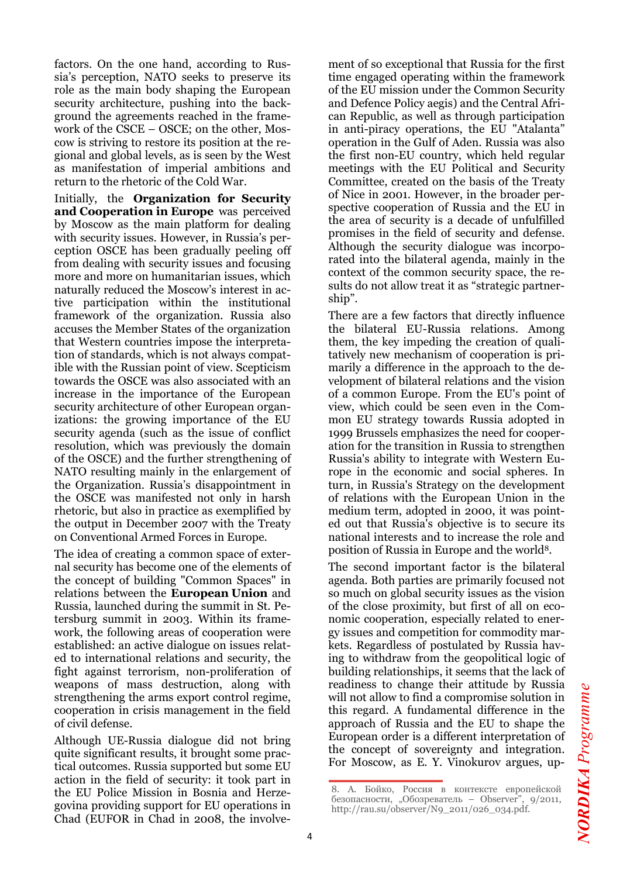factors. On the one hand, according to Russia's perception, NATO seeks to preserve its role as the main body shaping the European security architecture, pushing into the background the agreements reached in the framework of the CSCE – OSCE; on the other, Moscow is striving to restore its position at the regional and global levels, as is seen by the West as manifestation of imperial ambitions and return to the rhetoric of the Cold War.

Initially, the **Organization for Security**  and Cooperation in Europe was perceived by Moscow as the main platform for dealing with security issues. However, in Russia's perception OSCE has been gradually peeling off from dealing with security issues and focusing more and more on humanitarian issues, which naturally reduced the Moscow's interest in active participation within the institutional framework of the organization. Russia also accuses the Member States of the organization that Western countries impose the interpretation of standards, which is not always compatible with the Russian point of view. Scepticism towards the OSCE was also associated with an increase in the importance of the European security architecture of other European organizations: the growing importance of the EU security agenda (such as the issue of conflict resolution, which was previously the domain of the OSCE) and the further strengthening of NATO resulting mainly in the enlargement of the Organization. Russia's disappointment in the OSCE was manifested not only in harsh rhetoric, but also in practice as exemplified by the output in December 2007 with the Treaty on Conventional Armed Forces in Europe.

The idea of creating a common space of external security has become one of the elements of the concept of building "Common Spaces" in relations between the **European Union** and Russia, launched during the summit in St. Petersburg summit in 2003. Within its framework, the following areas of cooperation were established: an active dialogue on issues related to international relations and security, the fight against terrorism, non-proliferation of weapons of mass destruction, along with strengthening the arms export control regime, cooperation in crisis management in the field of civil defense.

Although UE-Russia dialogue did not bring quite significant results, it brought some practical outcomes. Russia supported but some EU action in the field of security: it took part in the EU Police Mission in Bosnia and Herzegovina providing support for EU operations in Chad (EUFOR in Chad in 2008, the involve-

ment of so exceptional that Russia for the first time engaged operating within the framework of the EU mission under the Common Security and Defence Policy aegis) and the Central African Republic, as well as through participation in anti-piracy operations, the EU "Atalanta" operation in the Gulf of Aden. Russia was also the first non-EU country, which held regular meetings with the EU Political and Security Committee, created on the basis of the Treaty of Nice in 2001. However, in the broader perspective cooperation of Russia and the EU in the area of security is a decade of unfulfilled promises in the field of security and defense. Although the security dialogue was incorporated into the bilateral agenda, mainly in the context of the common security space, the results do not allow treat it as "strategic partnership".

There are a few factors that directly influence the bilateral EU-Russia relations. Among them, the key impeding the creation of qualitatively new mechanism of cooperation is primarily a difference in the approach to the development of bilateral relations and the vision of a common Europe. From the EU's point of view, which could be seen even in the Common EU strategy towards Russia adopted in 1999 Brussels emphasizes the need for cooperation for the transition in Russia to strengthen Russia's ability to integrate with Western Europe in the economic and social spheres. In turn, in Russia's Strategy on the development of relations with the European Union in the medium term, adopted in 2000, it was pointed out that Russia's objective is to secure its national interests and to increase the role and position of Russia in Europe and the world8.

The second important factor is the bilateral agenda. Both parties are primarily focused not so much on global security issues as the vision of the close proximity, but first of all on economic cooperation, especially related to energy issues and competition for commodity markets. Regardless of postulated by Russia having to withdraw from the geopolitical logic of building relationships, it seems that the lack of readiness to change their attitude by Russia will not allow to find a compromise solution in this regard. A fundamental difference in the approach of Russia and the EU to shape the European order is a different interpretation of the concept of sovereignty and integration. For Moscow, as E. Y. Vinokurov argues, up-

<sup>8.</sup> А. Бойко, Россия в контексте европейской безопасности, "Обозреватель - Observer", 9/2011, http://rau.su/observer/N9\_2011/026\_034.pdf.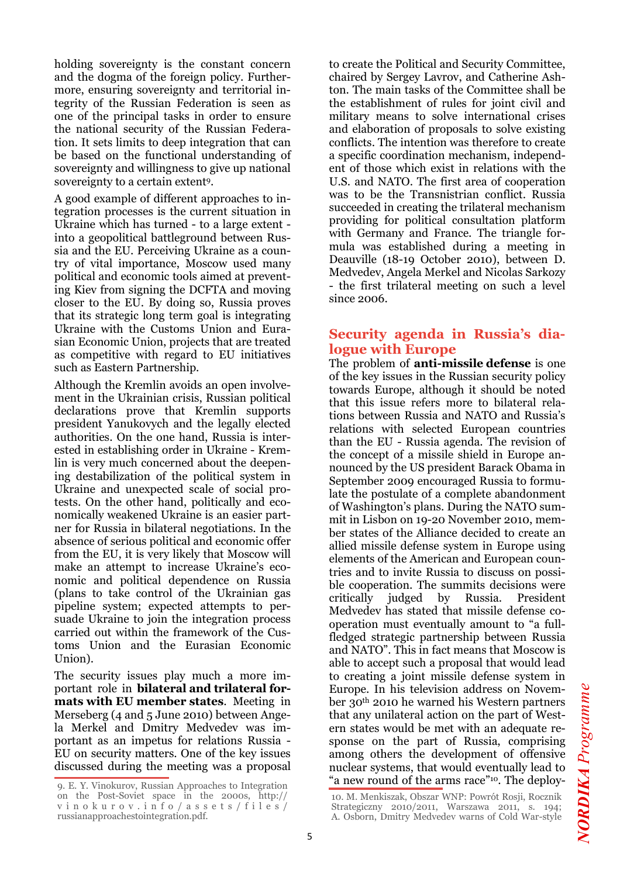holding sovereignty is the constant concern and the dogma of the foreign policy. Furthermore, ensuring sovereignty and territorial integrity of the Russian Federation is seen as one of the principal tasks in order to ensure the national security of the Russian Federation. It sets limits to deep integration that can be based on the functional understanding of sovereignty and willingness to give up national sovereignty to a certain extent9.

A good example of different approaches to integration processes is the current situation in Ukraine which has turned - to a large extent into a geopolitical battleground between Russia and the EU. Perceiving Ukraine as a country of vital importance, Moscow used many political and economic tools aimed at preventing Kiev from signing the DCFTA and moving closer to the EU. By doing so, Russia proves that its strategic long term goal is integrating Ukraine with the Customs Union and Eurasian Economic Union, projects that are treated as competitive with regard to EU initiatives such as Eastern Partnership.

Although the Kremlin avoids an open involvement in the Ukrainian crisis, Russian political declarations prove that Kremlin supports president Yanukovych and the legally elected authorities. On the one hand, Russia is interested in establishing order in Ukraine - Kremlin is very much concerned about the deepening destabilization of the political system in Ukraine and unexpected scale of social protests. On the other hand, politically and economically weakened Ukraine is an easier partner for Russia in bilateral negotiations. In the absence of serious political and economic offer from the EU, it is very likely that Moscow will make an attempt to increase Ukraine's economic and political dependence on Russia (plans to take control of the Ukrainian gas pipeline system; expected attempts to persuade Ukraine to join the integration process carried out within the framework of the Customs Union and the Eurasian Economic Union).

The security issues play much a more important role in **bilateral and trilateral formats with EU member states**. Meeting in Merseberg (4 and 5 June 2010) between Angela Merkel and Dmitry Medvedev was important as an impetus for relations Russia - EU on security matters. One of the key issues discussed during the meeting was a proposal to create the Political and Security Committee, chaired by Sergey Lavrov, and Catherine Ashton. The main tasks of the Committee shall be the establishment of rules for joint civil and military means to solve international crises and elaboration of proposals to solve existing conflicts. The intention was therefore to create a specific coordination mechanism, independent of those which exist in relations with the U.S. and NATO. The first area of cooperation was to be the Transnistrian conflict. Russia succeeded in creating the trilateral mechanism providing for political consultation platform with Germany and France. The triangle formula was established during a meeting in Deauville (18-19 October 2010), between D. Medvedev, Angela Merkel and Nicolas Sarkozy - the first trilateral meeting on such a level since 2006.

#### **Security agenda in Russia's dialogue with Europe**

The problem of **anti-missile defense** is one of the key issues in the Russian security policy towards Europe, although it should be noted that this issue refers more to bilateral relations between Russia and NATO and Russia's relations with selected European countries than the EU - Russia agenda. The revision of the concept of a missile shield in Europe announced by the US president Barack Obama in September 2009 encouraged Russia to formulate the postulate of a complete abandonment of Washington's plans. During the NATO summit in Lisbon on 19-20 November 2010, member states of the Alliance decided to create an allied missile defense system in Europe using elements of the American and European countries and to invite Russia to discuss on possible cooperation. The summits decisions were critically judged by Russia. President Medvedev has stated that missile defense cooperation must eventually amount to "a fullfledged strategic partnership between Russia and NATO". This in fact means that Moscow is able to accept such a proposal that would lead to creating a joint missile defense system in Europe. In his television address on November 30th 2010 he warned his Western partners that any unilateral action on the part of Western states would be met with an adequate response on the part of Russia, comprising among others the development of offensive nuclear systems, that would eventually lead to 9. E. Y. Vinokurov, Russian Approaches to Integration "a new round of the arms race"<sup>10</sup>. The deploy-

on the Post-Soviet space in the 2000s, http:// v i n o k u r o v . i n f o / a s s e t s / f i l e s / russianapproachestointegration.pdf.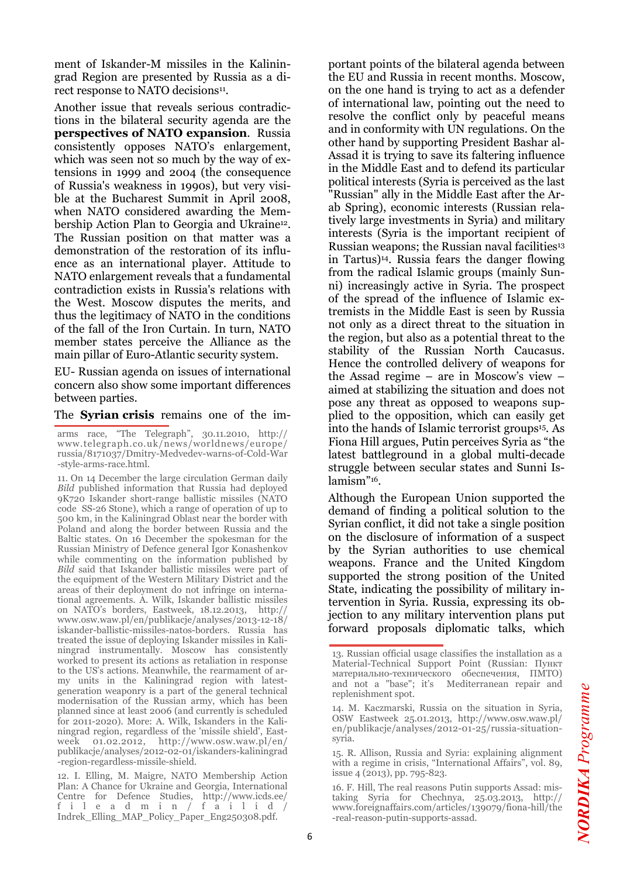ment of Iskander-M missiles in the Kaliningrad Region are presented by Russia as a direct response to NATO decisions<sup>11</sup>.

Another issue that reveals serious contradictions in the bilateral security agenda are the **perspectives of NATO expansion**. Russia consistently opposes NATO's enlargement, which was seen not so much by the way of extensions in 1999 and 2004 (the consequence of Russia's weakness in 1990s), but very visible at the Bucharest Summit in April 2008, when NATO considered awarding the Membership Action Plan to Georgia and Ukraine12. The Russian position on that matter was a demonstration of the restoration of its influence as an international player. Attitude to NATO enlargement reveals that a fundamental contradiction exists in Russia's relations with the West. Moscow disputes the merits, and thus the legitimacy of NATO in the conditions of the fall of the Iron Curtain. In turn, NATO member states perceive the Alliance as the main pillar of Euro-Atlantic security system.

EU- Russian agenda on issues of international concern also show some important differences between parties.

#### The **Syrian crisis** remains one of the im-

arms race, "The Telegraph", 30.11.2010, http:// www.telegraph.co.uk/news/worldnews/europe/ russia/8171037/Dmitry-Medvedev-warns-of-Cold-War -style-arms-race.html.

11. On 14 December the large circulation German daily *Bild* published information that Russia had deployed 9K720 Iskander short-range ballistic missiles (NATO code SS-26 Stone), which a range of operation of up to 500 km, in the Kaliningrad Oblast near the border with Poland and along the border between Russia and the Baltic states. On 16 December the spokesman for the Russian Ministry of Defence general Igor Konashenkov while commenting on the information published by *Bild* said that Iskander ballistic missiles were part of the equipment of the Western Military District and the areas of their deployment do not infringe on international agreements. A. Wilk, Iskander ballistic missiles on NATO's borders, Eastweek, 18.12.2013, http:// www.osw.waw.pl/en/publikacje/analyses/2013-12-18/ iskander-ballistic-missiles-natos-borders. Russia has treated the issue of deploying Iskander missiles in Kaliningrad instrumentally. Moscow has consistently worked to present its actions as retaliation in response to the US's actions. Meanwhile, the rearmament of army units in the Kaliningrad region with latestgeneration weaponry is a part of the general technical modernisation of the Russian army, which has been planned since at least 2006 (and currently is scheduled for 2011-2020). More: A. Wilk, Iskanders in the Kaliningrad region, regardless of the 'missile shield', Eastweek 01.02.2012, http://www.osw.waw.pl/en/ publikacje/analyses/2012-02-01/iskanders-kaliningrad -region-regardless-missile-shield.

12. I. Elling, M. Maigre, NATO Membership Action Plan: A Chance for Ukraine and Georgia, International Centre for Defence Studies, http://www.icds.ee/ f i l e a d m i n / f a i l i d / Indrek\_Elling\_MAP\_Policy\_Paper\_Eng250308.pdf.

portant points of the bilateral agenda between the EU and Russia in recent months. Moscow, on the one hand is trying to act as a defender of international law, pointing out the need to resolve the conflict only by peaceful means and in conformity with UN regulations. On the other hand by supporting President Bashar al-Assad it is trying to save its faltering influence in the Middle East and to defend its particular political interests (Syria is perceived as the last "Russian" ally in the Middle East after the Arab Spring), economic interests (Russian relatively large investments in Syria) and military interests (Syria is the important recipient of Russian weapons; the Russian naval facilities<sup>13</sup> in Tartus)14. Russia fears the danger flowing from the radical Islamic groups (mainly Sunni) increasingly active in Syria. The prospect of the spread of the influence of Islamic extremists in the Middle East is seen by Russia not only as a direct threat to the situation in the region, but also as a potential threat to the stability of the Russian North Caucasus. Hence the controlled delivery of weapons for the Assad regime – are in Moscow's view – aimed at stabilizing the situation and does not pose any threat as opposed to weapons supplied to the opposition, which can easily get into the hands of Islamic terrorist groups15. As Fiona Hill argues, Putin perceives Syria as "the latest battleground in a global multi-decade struggle between secular states and Sunni Islamism"16.

Although the European Union supported the demand of finding a political solution to the Syrian conflict, it did not take a single position on the disclosure of information of a suspect by the Syrian authorities to use chemical weapons. France and the United Kingdom supported the strong position of the United State, indicating the possibility of military intervention in Syria. Russia, expressing its objection to any military intervention plans put forward proposals diplomatic talks, which

<sup>13.</sup> Russian official usage classifies the installation as a Material-Technical Support Point (Russian: Пункт материально-технического обеспечения, ПМТО) and not a "base"; it's Mediterranean repair and replenishment spot.

<sup>14.</sup> M. Kaczmarski, Russia on the situation in Syria, OSW Eastweek 25.01.2013, http://www.osw.waw.pl/ en/publikacje/analyses/2012-01-25/russia-situationsyria.

<sup>15.</sup> R. Allison, Russia and Syria: explaining alignment with a regime in crisis, "International Affairs", vol. 89, issue 4 (2013), pp. 795-823.

<sup>16.</sup> F. Hill, The real reasons Putin supports Assad: mistaking Syria for Chechnya, 25.03.2013, http:// www.foreignaffairs.com/articles/139079/fiona-hill/the -real-reason-putin-supports-assad.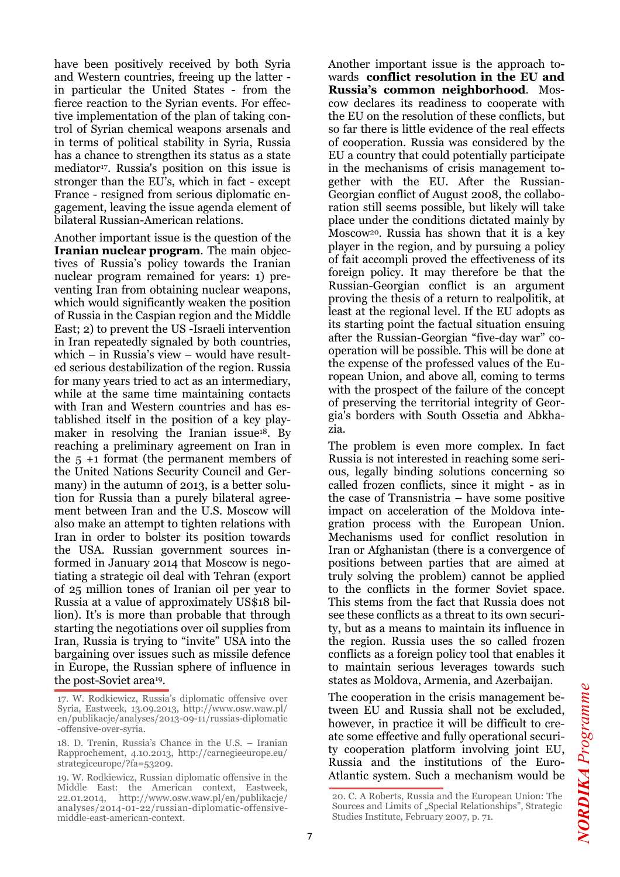have been positively received by both Syria and Western countries, freeing up the latter in particular the United States - from the fierce reaction to the Syrian events. For effective implementation of the plan of taking control of Syrian chemical weapons arsenals and in terms of political stability in Syria, Russia has a chance to strengthen its status as a state mediator<sup>17</sup>. Russia's position on this issue is stronger than the EU's, which in fact - except France - resigned from serious diplomatic engagement, leaving the issue agenda element of bilateral Russian-American relations.

Another important issue is the question of the **Iranian nuclear program**. The main objectives of Russia's policy towards the Iranian nuclear program remained for years: 1) preventing Iran from obtaining nuclear weapons, which would significantly weaken the position of Russia in the Caspian region and the Middle East; 2) to prevent the US -Israeli intervention in Iran repeatedly signaled by both countries, which – in Russia's view – would have resulted serious destabilization of the region. Russia for many years tried to act as an intermediary, while at the same time maintaining contacts with Iran and Western countries and has established itself in the position of a key playmaker in resolving the Iranian issue<sup>18</sup>. By reaching a preliminary agreement on Iran in the 5 +1 format (the permanent members of the United Nations Security Council and Germany) in the autumn of 2013, is a better solution for Russia than a purely bilateral agreement between Iran and the U.S. Moscow will also make an attempt to tighten relations with Iran in order to bolster its position towards the USA. Russian government sources informed in January 2014 that Moscow is negotiating a strategic oil deal with Tehran (export of 25 million tones of Iranian oil per year to Russia at a value of approximately US\$18 billion). It's is more than probable that through starting the negotiations over oil supplies from Iran, Russia is trying to "invite" USA into the bargaining over issues such as missile defence in Europe, the Russian sphere of influence in the post-Soviet area19.

Another important issue is the approach towards **conflict resolution in the EU and Russia's common neighborhood**. Moscow declares its readiness to cooperate with the EU on the resolution of these conflicts, but so far there is little evidence of the real effects of cooperation. Russia was considered by the EU a country that could potentially participate in the mechanisms of crisis management together with the EU. After the Russian-Georgian conflict of August 2008, the collaboration still seems possible, but likely will take place under the conditions dictated mainly by Moscow20. Russia has shown that it is a key player in the region, and by pursuing a policy of fait accompli proved the effectiveness of its foreign policy. It may therefore be that the Russian-Georgian conflict is an argument proving the thesis of a return to realpolitik, at least at the regional level. If the EU adopts as its starting point the factual situation ensuing after the Russian-Georgian "five-day war" cooperation will be possible. This will be done at the expense of the professed values of the European Union, and above all, coming to terms with the prospect of the failure of the concept of preserving the territorial integrity of Georgia's borders with South Ossetia and Abkhazia.

The problem is even more complex. In fact Russia is not interested in reaching some serious, legally binding solutions concerning so called frozen conflicts, since it might - as in the case of Transnistria – have some positive impact on acceleration of the Moldova integration process with the European Union. Mechanisms used for conflict resolution in Iran or Afghanistan (there is a convergence of positions between parties that are aimed at truly solving the problem) cannot be applied to the conflicts in the former Soviet space. This stems from the fact that Russia does not see these conflicts as a threat to its own security, but as a means to maintain its influence in the region. Russia uses the so called frozen conflicts as a foreign policy tool that enables it to maintain serious leverages towards such states as Moldova, Armenia, and Azerbaijan.

The cooperation in the crisis management between EU and Russia shall not be excluded, however, in practice it will be difficult to create some effective and fully operational security cooperation platform involving joint EU, Russia and the institutions of the Euro-Atlantic system. Such a mechanism would be

<sup>17.</sup> W. Rodkiewicz, Russia's diplomatic offensive over Syria, Eastweek, 13.09.2013, http://www.osw.waw.pl/ en/publikacje/analyses/2013-09-11/russias-diplomatic -offensive-over-syria.

<sup>18.</sup> D. Trenin, Russia's Chance in the U.S. – Iranian Rapprochement, 4.10.2013, http://carnegieeurope.eu/ strategiceurope/?fa=53209.

<sup>19.</sup> W. Rodkiewicz, Russian diplomatic offensive in the Middle East: the American context, Eastweek, 22.01.2014, http://www.osw.waw.pl/en/publikacje/ analyses/2014-01-22/russian-diplomatic-offensivemiddle-east-american-context.

<sup>20.</sup> C. A Roberts, Russia and the European Union: The Sources and Limits of "Special Relationships", Strategic Studies Institute, February 2007, p. 71.